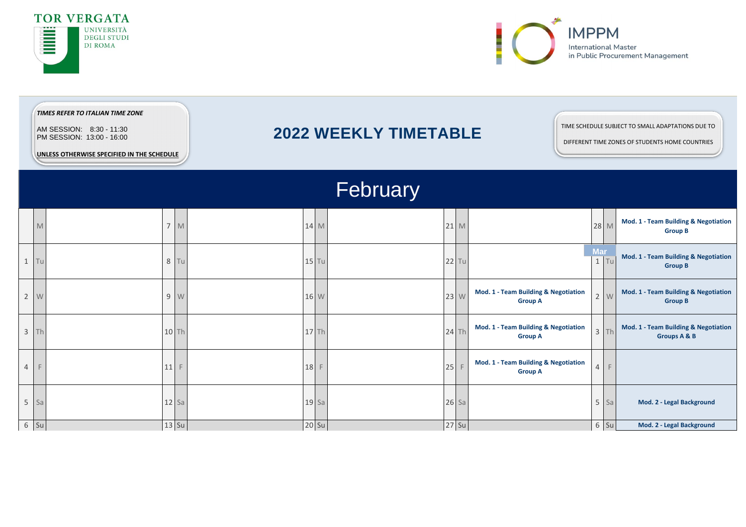



|                | TIMES REFER TO ITALIAN TIME ZONE<br>AM SESSION: 8:30 - 11:30<br>PM SESSION: 13:00 - 16:00<br>UNLESS OTHERWISE SPECIFIED IN THE SCHEDULE |         |         |         | TIME SCHEDULE SUBJECT TO SMALL ADAPTATIONS DUE TO<br><b>2022 WEEKLY TIMETABLE</b><br>DIFFERENT TIME ZONES OF STUDENTS HOME COUNTRIES<br>February |  |                                                                   |                |                      |  |                                                                   |  |  |
|----------------|-----------------------------------------------------------------------------------------------------------------------------------------|---------|---------|---------|--------------------------------------------------------------------------------------------------------------------------------------------------|--|-------------------------------------------------------------------|----------------|----------------------|--|-------------------------------------------------------------------|--|--|
|                |                                                                                                                                         |         |         |         |                                                                                                                                                  |  |                                                                   |                |                      |  |                                                                   |  |  |
|                | M                                                                                                                                       |         | 7 M     | 14 M    | $21$ M                                                                                                                                           |  |                                                                   |                | 28 M                 |  | Mod. 1 - Team Building & Negotiation<br><b>Group B</b>            |  |  |
|                | $1$ Tu                                                                                                                                  | 8 Tu    |         | $15$ Tu | $22$ Tu                                                                                                                                          |  |                                                                   |                | <b>Mar</b><br>$1$ Tu |  | Mod. 1 - Team Building & Negotiation<br><b>Group B</b>            |  |  |
|                | $2 \quad W$                                                                                                                             | 9 W     |         | 16 W    | 23 W                                                                                                                                             |  | Mod. 1 - Team Building & Negotiation<br><b>Group A</b>            |                | $2 \quad W$          |  | <b>Mod. 1 - Team Building &amp; Negotiation</b><br><b>Group B</b> |  |  |
|                | $3$ Th                                                                                                                                  |         | $10$ Th | $17$ Th | $24$ Th                                                                                                                                          |  | Mod. 1 - Team Building & Negotiation<br><b>Group A</b>            |                | $3$ Th               |  | Mod. 1 - Team Building & Negotiation<br><b>Groups A &amp; B</b>   |  |  |
| $\overline{4}$ | F                                                                                                                                       | 11      | F       | 18      | 25                                                                                                                                               |  | <b>Mod. 1 - Team Building &amp; Negotiation</b><br><b>Group A</b> | $\overline{4}$ | $\mathsf{F}$         |  |                                                                   |  |  |
| 5 <sup>1</sup> | Sa                                                                                                                                      | $12$ Sa |         | $19$ Sa | $26$ Sa                                                                                                                                          |  |                                                                   |                | $5$ Sa               |  | Mod. 2 - Legal Background                                         |  |  |
|                | $6$ Su                                                                                                                                  |         | 13 Su   | 20 Su   | 27 Su                                                                                                                                            |  |                                                                   |                | 6 Su                 |  | Mod. 2 - Legal Background                                         |  |  |

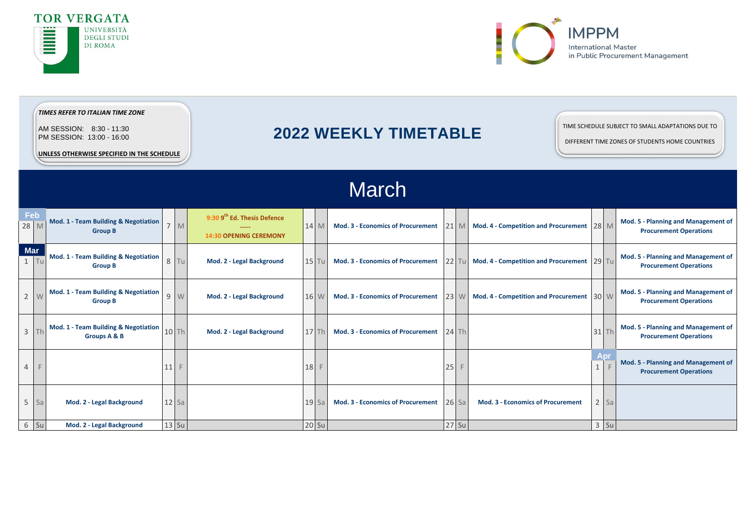|                        |    | <u>UNLLJJ UTHLINWIJL JE LUH ILD IN THE JUHLDULL</u>               |         |                                                                          |         |                                          |    |                |                                                    |         |            |                                                                             |
|------------------------|----|-------------------------------------------------------------------|---------|--------------------------------------------------------------------------|---------|------------------------------------------|----|----------------|----------------------------------------------------|---------|------------|-----------------------------------------------------------------------------|
|                        |    |                                                                   |         |                                                                          |         | <b>March</b>                             |    |                |                                                    |         |            |                                                                             |
| Feb<br>28 M            |    | <b>Mod. 1 - Team Building &amp; Negotiation</b><br><b>Group B</b> | $7$ M   | 9:30 9 <sup>th</sup> Ed. Thesis Defence<br><b>14:30 OPENING CEREMONY</b> | 14 M    | <b>Mod. 3 - Economics of Procurement</b> |    |                | 21 M   Mod. 4 - Competition and Procurement 28 M   |         |            | Mod. 5 - Planning and Management of<br><b>Procurement Operations</b>        |
| <b>Mar</b><br>$1 \mid$ | Tu | Mod. 1 - Team Building & Negotiation<br><b>Group B</b>            | $8$ Tu  | Mod. 2 - Legal Background                                                | $15$ Tu | <b>Mod. 3 - Economics of Procurement</b> |    |                | 22 Tu   Mod. 4 - Competition and Procurement 29 Tu |         |            | <b>Mod. 5 - Planning and Management of</b><br><b>Procurement Operations</b> |
| 2 <sup>1</sup>         | W  | <b>Mod. 1 - Team Building &amp; Negotiation</b><br><b>Group B</b> | 9 W     | Mod. 2 - Legal Background                                                | 16 W    | <b>Mod. 3 - Economics of Procurement</b> |    |                | 23 W   Mod. 4 - Competition and Procurement 30 W   |         |            | <b>Mod. 5 - Planning and Management of</b><br><b>Procurement Operations</b> |
| $3$ Th                 |    | Mod. 1 - Team Building & Negotiation<br><b>Groups A &amp; B</b>   | 10 Th   | Mod. 2 - Legal Background                                                | $17$ Th | <b>Mod. 3 - Economics of Procurement</b> |    | $24$ Th        |                                                    | $31$ Th |            | <b>Mod. 5 - Planning and Management of</b><br><b>Procurement Operations</b> |
| $\overline{4}$         | F  |                                                                   | $11$ F  |                                                                          | 18      |                                          | 25 | $\overline{F}$ |                                                    | 1       | <b>Apr</b> | <b>Mod. 5 - Planning and Management of</b><br><b>Procurement Operations</b> |
| $5$ Sa                 |    | Mod. 2 - Legal Background                                         | $12$ Sa |                                                                          | $19$ Sa | <b>Mod. 3 - Economics of Procurement</b> |    | $26$ Sa        | <b>Mod. 3 - Economics of Procurement</b>           |         | $2$ Sa     |                                                                             |
| $6$ Su                 |    | Mod. 2 - Legal Background                                         | $13$ Su |                                                                          | 20 Su   |                                          |    | $27$ Su        |                                                    | $3$ Su  |            |                                                                             |



# **2022 WEEKLY TIMETABLE**







### *TIMES REFER TO ITALIAN TIME ZONE*

AM SESSION: 8:30 - 11:30 PM SESSION: 13:00 - 16:00

**UNLESS OTHERWISE SPECIFIED IN THE SCHEDULE** 

## TIME SCHEDULE SUBJECT TO SMALL ADAPTATIONS DUE TO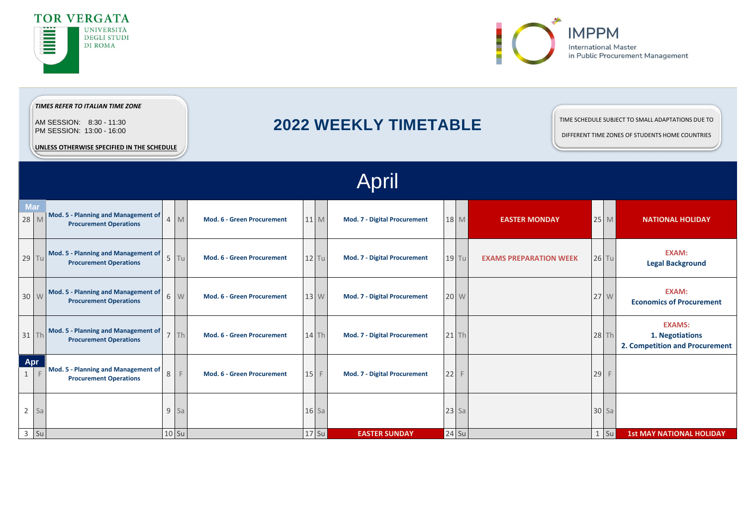|                    |         |                                                                             |   |         |                                   |         |         | April                               |         |                               |      |         |                                                                    |
|--------------------|---------|-----------------------------------------------------------------------------|---|---------|-----------------------------------|---------|---------|-------------------------------------|---------|-------------------------------|------|---------|--------------------------------------------------------------------|
| <b>Mar</b><br>28 M |         | <b>Mod. 5 - Planning and Management of</b><br><b>Procurement Operations</b> |   | 4 M     | <b>Mod. 6 - Green Procurement</b> | 11 M    |         | <b>Mod. 7 - Digital Procurement</b> | 18 M    | <b>EASTER MONDAY</b>          |      | $25$ M  | <b>NATIONAL HOLIDAY</b>                                            |
|                    | $29$ Tu | Mod. 5 - Planning and Management of<br><b>Procurement Operations</b>        |   | $5$ Tu  | <b>Mod. 6 - Green Procurement</b> | $12$ Tu |         | <b>Mod. 7 - Digital Procurement</b> | $19$ Tu | <b>EXAMS PREPARATION WEEK</b> |      | $26$ Tu | <b>EXAM:</b><br><b>Legal Background</b>                            |
|                    | 30 W    | <b>Mod. 5 - Planning and Management of</b><br><b>Procurement Operations</b> |   | $6 \ W$ | <b>Mod. 6 - Green Procurement</b> | 13 W    |         | <b>Mod. 7 - Digital Procurement</b> | 20 W    |                               | 27 W |         | <b>EXAM:</b><br><b>Economics of Procurement</b>                    |
|                    | $31$ Th | <b>Mod. 5 - Planning and Management of</b><br><b>Procurement Operations</b> |   | $7$ Th  | <b>Mod. 6 - Green Procurement</b> |         | 14 Th   | <b>Mod. 7 - Digital Procurement</b> | $21$ Th |                               |      | 28 Th   | <b>EXAMS:</b><br>1. Negotiations<br>2. Competition and Procurement |
| Apr<br>-1          |         | Mod. 5 - Planning and Management of<br><b>Procurement Operations</b>        | 8 |         | <b>Mod. 6 - Green Procurement</b> | $15$ F  |         | <b>Mod. 7 - Digital Procurement</b> | $22$ F  |                               | 29   | F       |                                                                    |
| $\overline{2}$     | Sa      |                                                                             |   | 9 Sa    |                                   | $16$ Sa |         |                                     | $23$ Sa |                               |      | $30$ Sa |                                                                    |
|                    | 3 Su    |                                                                             |   | $10$ Su |                                   |         | $17$ Su | <b>EASTER SUNDAY</b>                | 24 Su   |                               |      | $1$ Su  | <b>1st MAY NATIONAL HOLIDAY</b>                                    |



# **2022 WEEKLY TIMETABLE**



| Oľ<br><b>11</b> |
|-----------------|
|                 |



## *TIMES REFER TO ITALIAN TIME ZONE*

AM SESSION: 8:30 - 11:30 PM SESSION: 13:00 - 16:00

**UNLESS OTHERWISE SPECIFIED IN THE SCHEDULE**

## TIME SCHEDULE SUBJECT TO SMALL ADAPTATIONS DUE TO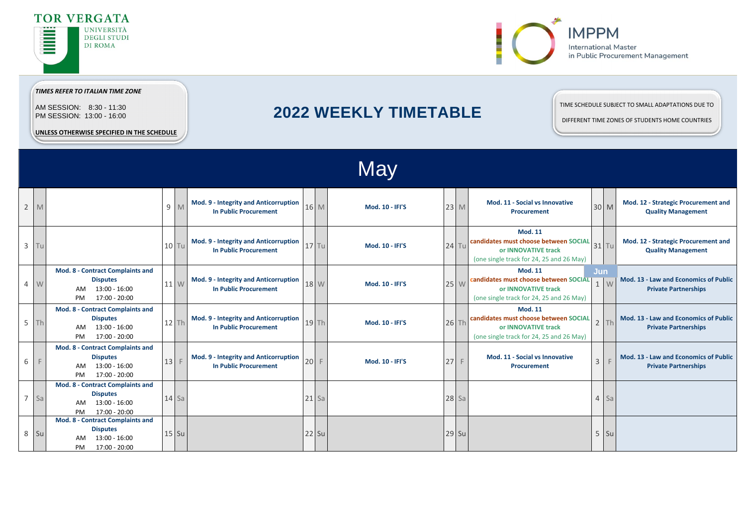|                | <b>May</b>   |                                                                                                    |    |                |                                                                       |                 |   |                        |  |           |                                                                                                                            |                     |                         |                                                                      |
|----------------|--------------|----------------------------------------------------------------------------------------------------|----|----------------|-----------------------------------------------------------------------|-----------------|---|------------------------|--|-----------|----------------------------------------------------------------------------------------------------------------------------|---------------------|-------------------------|----------------------------------------------------------------------|
| $\overline{2}$ | M            |                                                                                                    |    | 9 M            | Mod. 9 - Integrity and Anticorruption<br><b>In Public Procurement</b> | 16 M            |   | <b>Mod. 10 - IFI'S</b> |  | $23 \, M$ | Mod. 11 - Social vs Innovative<br><b>Procurement</b>                                                                       | 30 M                |                         | Mod. 12 - Strategic Procurement and<br><b>Quality Management</b>     |
| $\mathbf{3}$   | Tu           |                                                                                                    |    | $10$ Tu        | Mod. 9 - Integrity and Anticorruption<br><b>In Public Procurement</b> | $17$ Tu         |   | <b>Mod. 10 - IFI'S</b> |  | $24$ Tu   | <b>Mod. 11</b><br>candidates must choose between SOCIAL<br>or INNOVATIVE track<br>(one single track for 24, 25 and 26 May) | 31 Tu               |                         | Mod. 12 - Strategic Procurement and<br><b>Quality Management</b>     |
| $\overline{4}$ | W            | Mod. 8 - Contract Complaints and<br><b>Disputes</b><br>13:00 - 16:00<br>AM<br>17:00 - 20:00<br>PM  |    | $11 \text{ W}$ | Mod. 9 - Integrity and Anticorruption<br><b>In Public Procurement</b> | 18 W            |   | <b>Mod. 10 - IFI'S</b> |  | 25 W      | <b>Mod. 11</b><br>candidates must choose between SOCIAL<br>or INNOVATIVE track<br>(one single track for 24, 25 and 26 May) | Jun<br>$\mathbf{1}$ | $\overline{\mathsf{w}}$ | Mod. 13 - Law and Economics of Public<br><b>Private Partnerships</b> |
| 5              | Th           | Mod. 8 - Contract Complaints and<br><b>Disputes</b><br>13:00 - 16:00<br>AM<br>17:00 - 20:00<br>PM  |    | $12$ Th        | Mod. 9 - Integrity and Anticorruption<br><b>In Public Procurement</b> | $19$ Th         |   | <b>Mod. 10 - IFI'S</b> |  | $26$ Th   | <b>Mod. 11</b><br>candidates must choose between SOCIAL<br>or INNOVATIVE track<br>(one single track for 24, 25 and 26 May) |                     | Th                      | Mod. 13 - Law and Economics of Public<br><b>Private Partnerships</b> |
| 6              | $\mathsf{F}$ | Mod. 8 - Contract Complaints and<br><b>Disputes</b><br>13:00 - 16:00<br>AM.<br>17:00 - 20:00<br>PM | 13 |                | Mod. 9 - Integrity and Anticorruption<br><b>In Public Procurement</b> | 20 <sup>1</sup> | F | <b>Mod. 10 - IFI'S</b> |  | $27$ F    | Mod. 11 - Social vs Innovative<br><b>Procurement</b>                                                                       | $\overline{3}$      | $\square$               | Mod. 13 - Law and Economics of Public<br><b>Private Partnerships</b> |
| $\overline{7}$ | Sa           | Mod. 8 - Contract Complaints and<br><b>Disputes</b><br>13:00 - 16:00<br>AM<br>17:00 - 20:00<br>PM  |    | $14$ Sa        |                                                                       | $21$ Sa         |   |                        |  | $28$ Sa   |                                                                                                                            |                     | $4$ Sa                  |                                                                      |
| 8              | Su           | Mod. 8 - Contract Complaints and<br><b>Disputes</b><br>$13:00 - 16:00$<br>17:00 - 20:00<br>PM      |    | $15$ Su        |                                                                       | <b>22 Su</b>    |   |                        |  | 29 Su     |                                                                                                                            |                     | $5$ Su                  |                                                                      |



# **2022 WEEKLY TIMETABLE**







*TIMES REFER TO ITALIAN TIME ZONE*

AM SESSION: 8:30 - 11:30 PM SESSION: 13:00 - 16:00

**UNLESS OTHERWISE SPECIFIED IN THE SCHEDULE**

## TIME SCHEDULE SUBJECT TO SMALL ADAPTATIONS DUE TO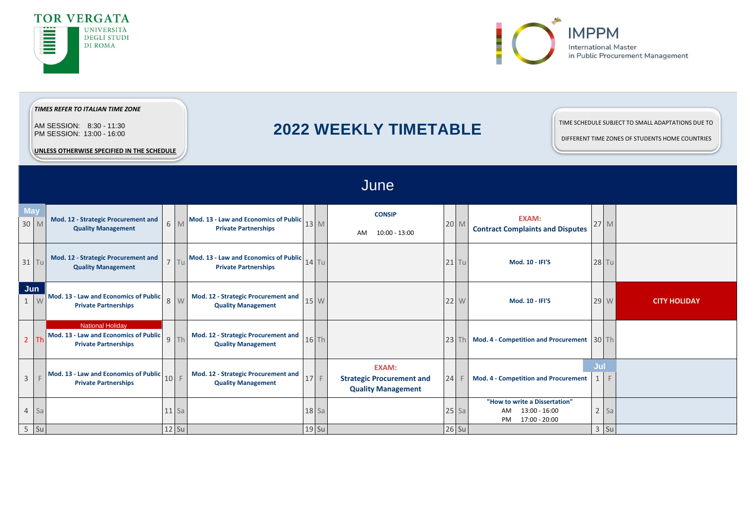|                     | UNLESS OTHERWISE SPECIFIED IN THE SCHEDULE |                                                                                                 |         |        |  |                                                                                                                  |  |         |                                                                               |  |         |                                                                             |                  |  |              |                     |
|---------------------|--------------------------------------------|-------------------------------------------------------------------------------------------------|---------|--------|--|------------------------------------------------------------------------------------------------------------------|--|---------|-------------------------------------------------------------------------------|--|---------|-----------------------------------------------------------------------------|------------------|--|--------------|---------------------|
|                     |                                            |                                                                                                 |         |        |  |                                                                                                                  |  |         | June                                                                          |  |         |                                                                             |                  |  |              |                     |
| <b>May</b>          | 30 M                                       | Mod. 12 - Strategic Procurement and<br><b>Quality Management</b>                                |         | 6 M    |  | Mod. 13 - Law and Economics of Public $\Big $ 13 $\Big $ M<br><b>Private Partnerships</b>                        |  |         | <b>CONSIP</b><br>10:00 - 13:00<br>AM                                          |  | 20 M    | <b>EXAM:</b><br><b>Contract Complaints and Disputes</b>                     | 27 M             |  |              |                     |
|                     | $31$ Tu                                    | Mod. 12 - Strategic Procurement and<br><b>Quality Management</b>                                |         | $7$ Tu |  | Mod. 13 - Law and Economics of Public $\begin{bmatrix} 14 \\ 14 \end{bmatrix}$ Tu<br><b>Private Partnerships</b> |  |         |                                                                               |  | $21$ Tu | <b>Mod. 10 - IFI'S</b>                                                      |                  |  | <b>28 Tu</b> |                     |
| Jun<br>$\mathbf{1}$ | W                                          | Mod. 13 - Law and Economics of Public<br><b>Private Partnerships</b>                            |         | 8 W    |  | Mod. 12 - Strategic Procurement and<br><b>Quality Management</b>                                                 |  | 15 W    |                                                                               |  | 22 W    | <b>Mod. 10 - IFI'S</b>                                                      |                  |  | 29 W         | <b>CITY HOLIDAY</b> |
|                     | $2$ Th                                     | <b>National Holiday</b><br>Mod. 13 - Law and Economics of Public<br><b>Private Partnerships</b> |         | $9$ Th |  | Mod. 12 - Strategic Procurement and<br><b>Quality Management</b>                                                 |  | $16$ Th |                                                                               |  | $23$ Th | <b>Mod. 4 - Competition and Procurement</b> $30$ Th                         |                  |  |              |                     |
| $\overline{3}$      |                                            | Mod. 13 - Law and Economics of Public<br><b>Private Partnerships</b>                            |         | $10$ F |  | Mod. 12 - Strategic Procurement and<br><b>Quality Management</b>                                                 |  | 17 F    | <b>EXAM:</b><br><b>Strategic Procurement and</b><br><b>Quality Management</b> |  | $24$ F  | <b>Mod. 4 - Competition and Procurement</b>                                 | Jul<br>$1 \vert$ |  | $\mathsf F$  |                     |
|                     | $4$ Sa                                     |                                                                                                 | $11$ Sa |        |  |                                                                                                                  |  | $18$ Sa |                                                                               |  | $25$ Sa | "How to write a Dissertation"<br>13:00 - 16:00<br>AM<br>17:00 - 20:00<br>PM |                  |  | $2$ Sa       |                     |
|                     | 5 Su                                       |                                                                                                 | 12 Su   |        |  |                                                                                                                  |  | 19 Su   |                                                                               |  | $26$ Su |                                                                             |                  |  | $3$ Su       |                     |



| June |
|------|
|------|

# **2022 WEEKLY TIMETABLE**



# *TIMES REFER TO ITALIAN TIME ZONE*

AM SESSION: 8:30 - 11:30 PM SESSION: 13:00 - 16:00

**UNLESS OTHERWISE SPECIFIED IN THE SCHEDULE**

## TIME SCHEDULE SUBJECT TO SMALL ADAPTATIONS DUE TO